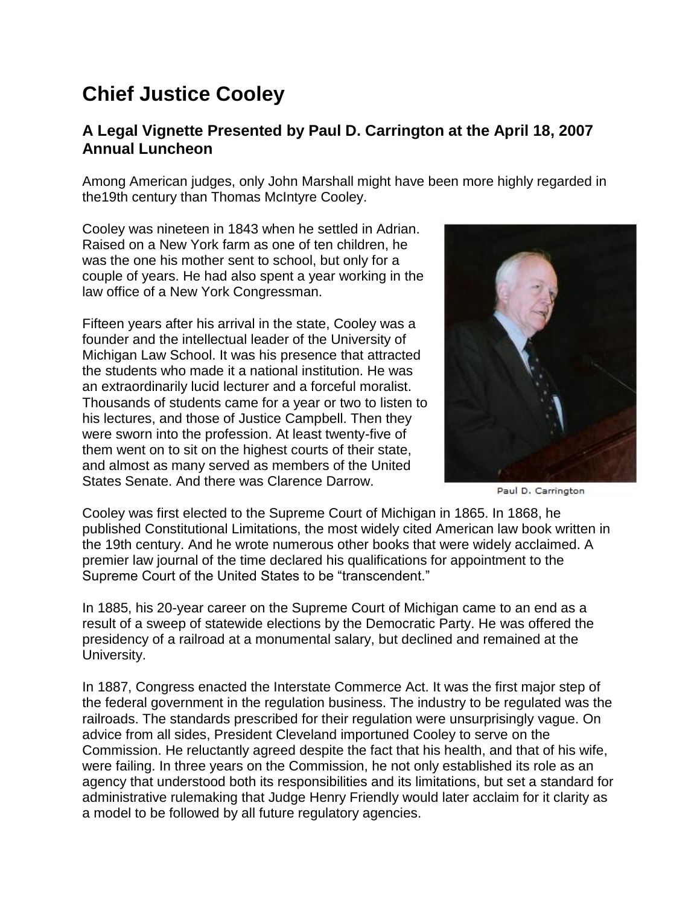## **Chief Justice Cooley**

## **A Legal Vignette Presented by Paul D. Carrington at the April 18, 2007 Annual Luncheon**

Among American judges, only John Marshall might have been more highly regarded in the19th century than Thomas McIntyre Cooley.

Cooley was nineteen in 1843 when he settled in Adrian. Raised on a New York farm as one of ten children, he was the one his mother sent to school, but only for a couple of years. He had also spent a year working in the law office of a New York Congressman.

Fifteen years after his arrival in the state, Cooley was a founder and the intellectual leader of the University of Michigan Law School. It was his presence that attracted the students who made it a national institution. He was an extraordinarily lucid lecturer and a forceful moralist. Thousands of students came for a year or two to listen to his lectures, and those of Justice Campbell. Then they were sworn into the profession. At least twenty-five of them went on to sit on the highest courts of their state, and almost as many served as members of the United States Senate. And there was Clarence Darrow.



Paul D. Carrington

Cooley was first elected to the Supreme Court of Michigan in 1865. In 1868, he published Constitutional Limitations, the most widely cited American law book written in the 19th century. And he wrote numerous other books that were widely acclaimed. A premier law journal of the time declared his qualifications for appointment to the Supreme Court of the United States to be "transcendent."

In 1885, his 20-year career on the Supreme Court of Michigan came to an end as a result of a sweep of statewide elections by the Democratic Party. He was offered the presidency of a railroad at a monumental salary, but declined and remained at the University.

In 1887, Congress enacted the Interstate Commerce Act. It was the first major step of the federal government in the regulation business. The industry to be regulated was the railroads. The standards prescribed for their regulation were unsurprisingly vague. On advice from all sides, President Cleveland importuned Cooley to serve on the Commission. He reluctantly agreed despite the fact that his health, and that of his wife, were failing. In three years on the Commission, he not only established its role as an agency that understood both its responsibilities and its limitations, but set a standard for administrative rulemaking that Judge Henry Friendly would later acclaim for it clarity as a model to be followed by all future regulatory agencies.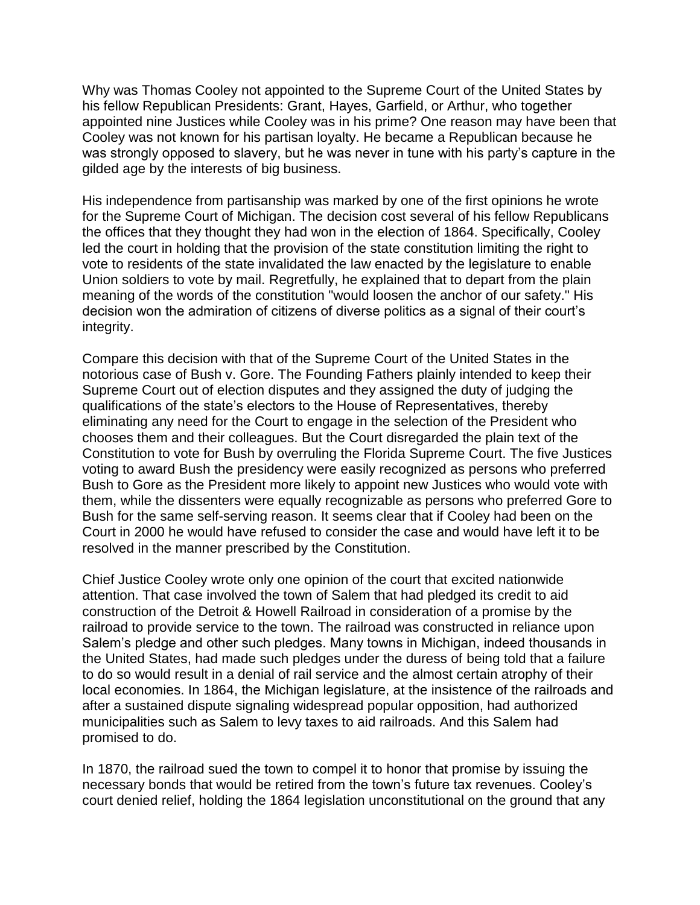Why was Thomas Cooley not appointed to the Supreme Court of the United States by his fellow Republican Presidents: Grant, Hayes, Garfield, or Arthur, who together appointed nine Justices while Cooley was in his prime? One reason may have been that Cooley was not known for his partisan loyalty. He became a Republican because he was strongly opposed to slavery, but he was never in tune with his party's capture in the gilded age by the interests of big business.

His independence from partisanship was marked by one of the first opinions he wrote for the Supreme Court of Michigan. The decision cost several of his fellow Republicans the offices that they thought they had won in the election of 1864. Specifically, Cooley led the court in holding that the provision of the state constitution limiting the right to vote to residents of the state invalidated the law enacted by the legislature to enable Union soldiers to vote by mail. Regretfully, he explained that to depart from the plain meaning of the words of the constitution "would loosen the anchor of our safety." His decision won the admiration of citizens of diverse politics as a signal of their court's integrity.

Compare this decision with that of the Supreme Court of the United States in the notorious case of Bush v. Gore. The Founding Fathers plainly intended to keep their Supreme Court out of election disputes and they assigned the duty of judging the qualifications of the state's electors to the House of Representatives, thereby eliminating any need for the Court to engage in the selection of the President who chooses them and their colleagues. But the Court disregarded the plain text of the Constitution to vote for Bush by overruling the Florida Supreme Court. The five Justices voting to award Bush the presidency were easily recognized as persons who preferred Bush to Gore as the President more likely to appoint new Justices who would vote with them, while the dissenters were equally recognizable as persons who preferred Gore to Bush for the same self-serving reason. It seems clear that if Cooley had been on the Court in 2000 he would have refused to consider the case and would have left it to be resolved in the manner prescribed by the Constitution.

Chief Justice Cooley wrote only one opinion of the court that excited nationwide attention. That case involved the town of Salem that had pledged its credit to aid construction of the Detroit & Howell Railroad in consideration of a promise by the railroad to provide service to the town. The railroad was constructed in reliance upon Salem's pledge and other such pledges. Many towns in Michigan, indeed thousands in the United States, had made such pledges under the duress of being told that a failure to do so would result in a denial of rail service and the almost certain atrophy of their local economies. In 1864, the Michigan legislature, at the insistence of the railroads and after a sustained dispute signaling widespread popular opposition, had authorized municipalities such as Salem to levy taxes to aid railroads. And this Salem had promised to do.

In 1870, the railroad sued the town to compel it to honor that promise by issuing the necessary bonds that would be retired from the town's future tax revenues. Cooley's court denied relief, holding the 1864 legislation unconstitutional on the ground that any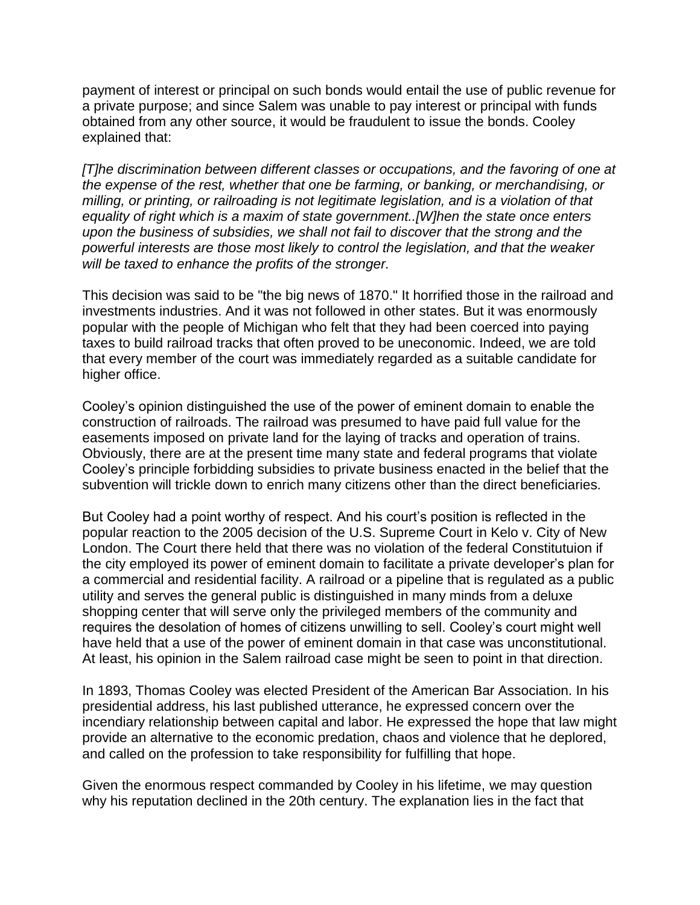payment of interest or principal on such bonds would entail the use of public revenue for a private purpose; and since Salem was unable to pay interest or principal with funds obtained from any other source, it would be fraudulent to issue the bonds. Cooley explained that:

*[T]he discrimination between different classes or occupations, and the favoring of one at the expense of the rest, whether that one be farming, or banking, or merchandising, or milling, or printing, or railroading is not legitimate legislation, and is a violation of that equality of right which is a maxim of state government..[W]hen the state once enters upon the business of subsidies, we shall not fail to discover that the strong and the powerful interests are those most likely to control the legislation, and that the weaker will be taxed to enhance the profits of the stronger.*

This decision was said to be "the big news of 1870." It horrified those in the railroad and investments industries. And it was not followed in other states. But it was enormously popular with the people of Michigan who felt that they had been coerced into paying taxes to build railroad tracks that often proved to be uneconomic. Indeed, we are told that every member of the court was immediately regarded as a suitable candidate for higher office.

Cooley's opinion distinguished the use of the power of eminent domain to enable the construction of railroads. The railroad was presumed to have paid full value for the easements imposed on private land for the laying of tracks and operation of trains. Obviously, there are at the present time many state and federal programs that violate Cooley's principle forbidding subsidies to private business enacted in the belief that the subvention will trickle down to enrich many citizens other than the direct beneficiaries.

But Cooley had a point worthy of respect. And his court's position is reflected in the popular reaction to the 2005 decision of the U.S. Supreme Court in Kelo v. City of New London. The Court there held that there was no violation of the federal Constitutuion if the city employed its power of eminent domain to facilitate a private developer's plan for a commercial and residential facility. A railroad or a pipeline that is regulated as a public utility and serves the general public is distinguished in many minds from a deluxe shopping center that will serve only the privileged members of the community and requires the desolation of homes of citizens unwilling to sell. Cooley's court might well have held that a use of the power of eminent domain in that case was unconstitutional. At least, his opinion in the Salem railroad case might be seen to point in that direction.

In 1893, Thomas Cooley was elected President of the American Bar Association. In his presidential address, his last published utterance, he expressed concern over the incendiary relationship between capital and labor. He expressed the hope that law might provide an alternative to the economic predation, chaos and violence that he deplored, and called on the profession to take responsibility for fulfilling that hope.

Given the enormous respect commanded by Cooley in his lifetime, we may question why his reputation declined in the 20th century. The explanation lies in the fact that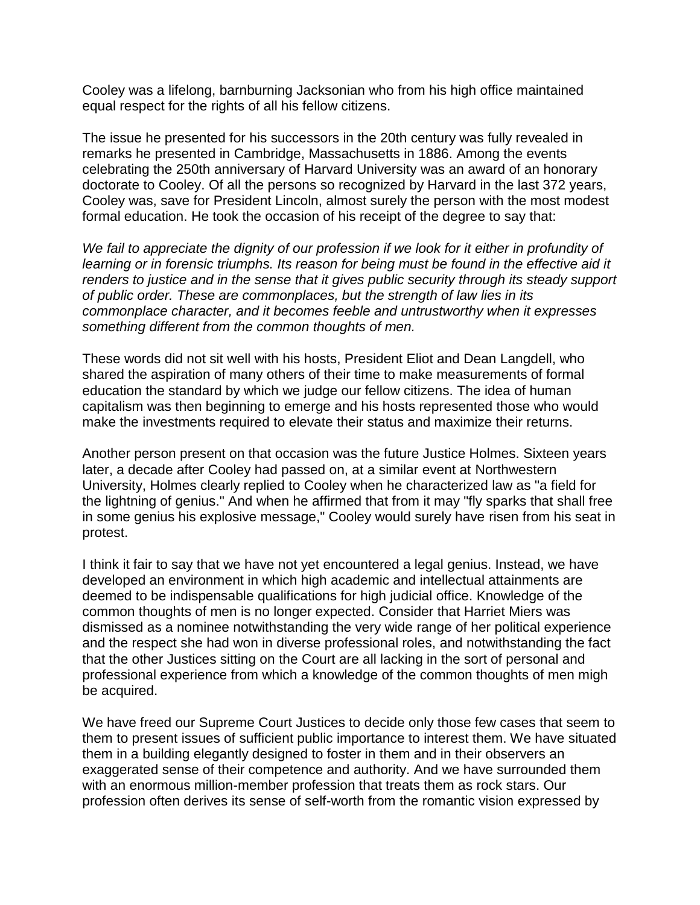Cooley was a lifelong, barnburning Jacksonian who from his high office maintained equal respect for the rights of all his fellow citizens.

The issue he presented for his successors in the 20th century was fully revealed in remarks he presented in Cambridge, Massachusetts in 1886. Among the events celebrating the 250th anniversary of Harvard University was an award of an honorary doctorate to Cooley. Of all the persons so recognized by Harvard in the last 372 years, Cooley was, save for President Lincoln, almost surely the person with the most modest formal education. He took the occasion of his receipt of the degree to say that:

*We fail to appreciate the dignity of our profession if we look for it either in profundity of learning or in forensic triumphs. Its reason for being must be found in the effective aid it renders to justice and in the sense that it gives public security through its steady support of public order. These are commonplaces, but the strength of law lies in its commonplace character, and it becomes feeble and untrustworthy when it expresses something different from the common thoughts of men.*

These words did not sit well with his hosts, President Eliot and Dean Langdell, who shared the aspiration of many others of their time to make measurements of formal education the standard by which we judge our fellow citizens. The idea of human capitalism was then beginning to emerge and his hosts represented those who would make the investments required to elevate their status and maximize their returns.

Another person present on that occasion was the future Justice Holmes. Sixteen years later, a decade after Cooley had passed on, at a similar event at Northwestern University, Holmes clearly replied to Cooley when he characterized law as "a field for the lightning of genius." And when he affirmed that from it may "fly sparks that shall free in some genius his explosive message," Cooley would surely have risen from his seat in protest.

I think it fair to say that we have not yet encountered a legal genius. Instead, we have developed an environment in which high academic and intellectual attainments are deemed to be indispensable qualifications for high judicial office. Knowledge of the common thoughts of men is no longer expected. Consider that Harriet Miers was dismissed as a nominee notwithstanding the very wide range of her political experience and the respect she had won in diverse professional roles, and notwithstanding the fact that the other Justices sitting on the Court are all lacking in the sort of personal and professional experience from which a knowledge of the common thoughts of men migh be acquired.

We have freed our Supreme Court Justices to decide only those few cases that seem to them to present issues of sufficient public importance to interest them. We have situated them in a building elegantly designed to foster in them and in their observers an exaggerated sense of their competence and authority. And we have surrounded them with an enormous million-member profession that treats them as rock stars. Our profession often derives its sense of self-worth from the romantic vision expressed by